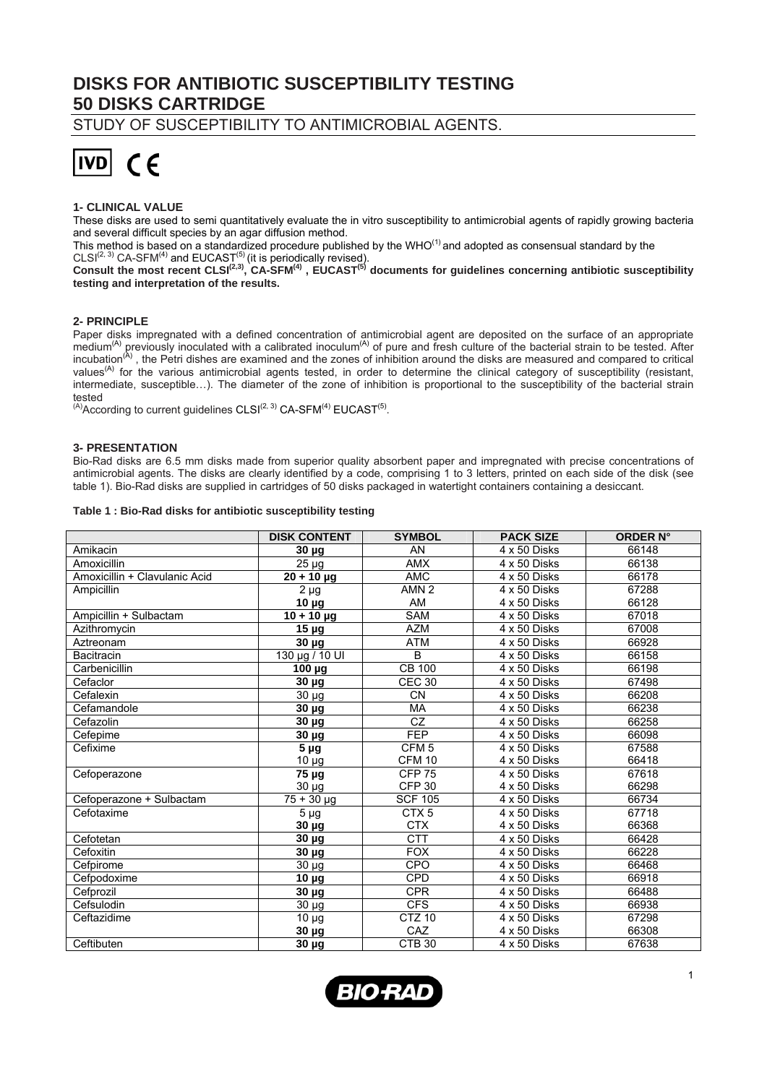# **DISKS FOR ANTIBIOTIC SUSCEPTIBILITY TESTING 50 DISKS CARTRIDGE**

STUDY OF SUSCEPTIBILITY TO ANTIMICROBIAL AGENTS.



# **1- CLINICAL VALUE**

These disks are used to semi quantitatively evaluate the in vitro susceptibility to antimicrobial agents of rapidly growing bacteria and several difficult species by an agar diffusion method.

This method is based on a standardized procedure published by the WHO(1) and adopted as consensual standard by the

 $CLSI<sup>(2, 3)</sup> CA-SFM<sup>(4)</sup>$  and  $EUCAST<sup>(5)</sup>$  (it is periodically revised).

**Consult the most recent CLSI(2,3), CA-SFM(4) , EUCAST(5) documents for guidelines concerning antibiotic susceptibility testing and interpretation of the results.** 

# **2- PRINCIPLE**

Paper disks impregnated with a defined concentration of antimicrobial agent are deposited on the surface of an appropriate medium<sup>(A)</sup> previously inoculated with a calibrated inoculum<sup>(A)</sup> of pure and fresh culture of the bacterial strain to be tested. After incubation<sup>(A)</sup>, the Petri dishes are examined and the zones of inhibition around the disks are measured and compared to critical values<sup>(A)</sup> for the various antimicrobial agents tested, in order to determine the clinical category of susceptibility (resistant, intermediate, susceptible…). The diameter of the zone of inhibition is proportional to the susceptibility of the bacterial strain tested

 $(A)$ According to current guidelines CLSI $(2, 3)$  CA-SFM $(4)$  EUCAST $(5)$ .

## **3- PRESENTATION**

Bio-Rad disks are 6.5 mm disks made from superior quality absorbent paper and impregnated with precise concentrations of antimicrobial agents. The disks are clearly identified by a code, comprising 1 to 3 letters, printed on each side of the disk (see table 1). Bio-Rad disks are supplied in cartridges of 50 disks packaged in watertight containers containing a desiccant.

#### **Table 1 : Bio-Rad disks for antibiotic susceptibility testing**

|                               | <b>DISK CONTENT</b>  | <b>SYMBOL</b>          | <b>PACK SIZE</b> | <b>ORDER N°</b> |
|-------------------------------|----------------------|------------------------|------------------|-----------------|
| Amikacin                      | $30 \mu g$           | AN                     | 4 x 50 Disks     | 66148           |
| Amoxicillin                   | $25 \mu g$           | AMX                    | 4 x 50 Disks     | 66138           |
| Amoxicillin + Clavulanic Acid | $20 + 10 \mu g$      | <b>AMC</b>             | 4 x 50 Disks     | 66178           |
| Ampicillin                    | $\overline{2} \mu$ g | AMN <sub>2</sub>       | 4 x 50 Disks     | 67288           |
|                               | $10 \mu g$           | AM                     | 4 x 50 Disks     | 66128           |
| Ampicillin + Sulbactam        | $10 + 10 \mu g$      | <b>SAM</b>             | 4 x 50 Disks     | 67018           |
| Azithromycin                  | 15 <sub>µg</sub>     | <b>AZM</b>             | 4 x 50 Disks     | 67008           |
| Aztreonam                     | 30 µg                | <b>ATM</b>             | 4 x 50 Disks     | 66928           |
| <b>Bacitracin</b>             | 130 µg / 10 UI       | $\overline{B}$         | 4 x 50 Disks     | 66158           |
| Carbenicillin                 | $100 \mu g$          | <b>CB 100</b>          | 4 x 50 Disks     | 66198           |
| Cefaclor                      | $30 \mu g$           | <b>CEC 30</b>          | 4 x 50 Disks     | 67498           |
| Cefalexin                     | $30 \mu g$           | <b>CN</b>              | 4 x 50 Disks     | 66208           |
| Cefamandole                   | 30 µg                | <b>MA</b>              | 4 x 50 Disks     | 66238           |
| Cefazolin                     | $30 \mu g$           | $\overline{\text{CZ}}$ | 4 x 50 Disks     | 66258           |
| Cefepime                      | $30 \mu g$           | <b>FEP</b>             | 4 x 50 Disks     | 66098           |
| Cefixime                      | $5 \mu g$            | CFM <sub>5</sub>       | 4 x 50 Disks     | 67588           |
|                               | $10 \mu g$           | <b>CFM 10</b>          | 4 x 50 Disks     | 66418           |
| Cefoperazone                  | $75 \mu g$           | <b>CFP 75</b>          | 4 x 50 Disks     | 67618           |
|                               | 30 µg                | <b>CFP 30</b>          | 4 x 50 Disks     | 66298           |
| Cefoperazone + Sulbactam      | $75 + 30 \mu g$      | <b>SCF 105</b>         | 4 x 50 Disks     | 66734           |
| Cefotaxime                    | $5 \mu g$            | CTX <sub>5</sub>       | 4 x 50 Disks     | 67718           |
|                               | $30 \mu g$           | <b>CTX</b>             | 4 x 50 Disks     | 66368           |
| Cefotetan                     | 30 µg                | <b>CTT</b>             | 4 x 50 Disks     | 66428           |
| Cefoxitin                     | $30 \mu g$           | <b>FOX</b>             | 4 x 50 Disks     | 66228           |
| Cefpirome                     | $30 \mu g$           | CPO                    | 4 x 50 Disks     | 66468           |
| Cefpodoxime                   | 10 μg                | CPD                    | 4 x 50 Disks     | 66918           |
| Cefprozil                     | $30 \mu g$           | <b>CPR</b>             | 4 x 50 Disks     | 66488           |
| Cefsulodin                    | $30 \mu g$           | <b>CFS</b>             | 4 x 50 Disks     | 66938           |
| Ceftazidime                   | $10 \mu g$           | <b>CTZ 10</b>          | 4 x 50 Disks     | 67298           |
|                               | $30 \mu g$           | CAZ                    | 4 x 50 Disks     | 66308           |
| Ceftibuten                    | 30 µg                | CTB <sub>30</sub>      | 4 x 50 Disks     | 67638           |

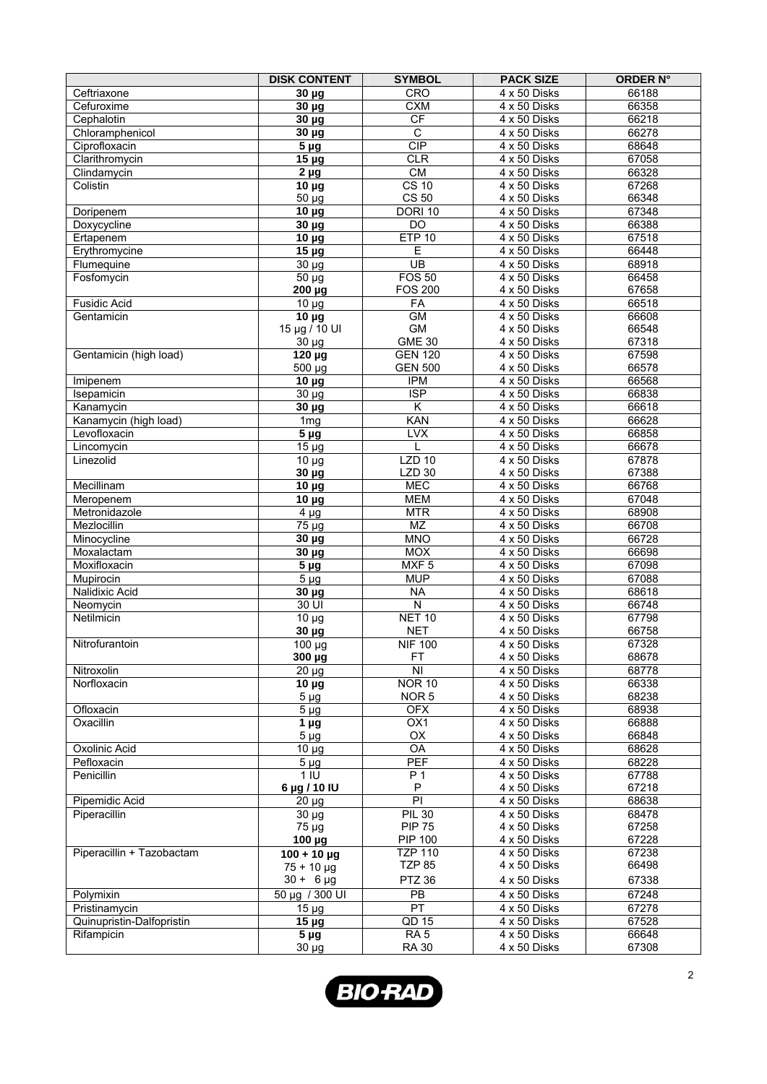|                             | <b>DISK CONTENT</b>                    | <b>SYMBOL</b>                   | <b>PACK SIZE</b>             | <b>ORDER N°</b> |
|-----------------------------|----------------------------------------|---------------------------------|------------------------------|-----------------|
| Ceftriaxone                 | $30 \mu g$                             | <b>CRO</b>                      | 4 x 50 Disks                 | 66188           |
| Cefuroxime                  | $30 \mu g$                             | <b>CXM</b>                      | 4 x 50 Disks                 | 66358           |
| Cephalotin                  | $30 \mu g$                             | <b>CF</b>                       | 4 x 50 Disks                 | 66218           |
| Chloramphenicol             | $30 \mu g$                             | $\overline{C}$                  | 4 x 50 Disks                 | 66278           |
| Ciprofloxacin               | $\overline{5 \mu g}$                   | CIP                             | 4 x 50 Disks                 | 68648           |
| Clarithromycin              | $15 \mu g$                             | <b>CLR</b>                      | 4 x 50 Disks                 | 67058           |
| Clindamycin                 | $\overline{2} \mu g$                   | CM                              | 4 x 50 Disks                 | 66328           |
| Colistin                    | $10 \mu g$                             | $CS$ 10                         | 4 x 50 Disks                 | 67268           |
| Doripenem                   | 50 µg<br>$10 \mu g$                    | <b>CS 50</b><br><b>DORI 10</b>  | 4 x 50 Disks<br>4 x 50 Disks | 66348<br>67348  |
| Doxycycline                 | $30 \mu g$                             | $\overline{D}$                  | 4 x 50 Disks                 | 66388           |
| Ertapenem                   | $10 \mu g$                             | <b>ETP 10</b>                   | 4 x 50 Disks                 | 67518           |
| Erythromycine               | $\overline{15}$ µg                     | Ε                               | 4 x 50 Disks                 | 66448           |
| Flumequine                  | $\overline{30}$ µg                     | $\overline{UB}$                 | 4 x 50 Disks                 | 68918           |
| Fosfomycin                  | $\frac{1}{50}$ µg                      | <b>FOS 50</b>                   | 4 x 50 Disks                 | 66458           |
|                             | 200 µg                                 | <b>FOS 200</b>                  | 4 x 50 Disks                 | 67658           |
| <b>Fusidic Acid</b>         | $\overline{10}$ µg                     | FA                              | 4 x 50 Disks                 | 66518           |
| Gentamicin                  | $10 \mu g$                             | GM                              | 4 x 50 Disks                 | 66608           |
|                             | 15 µg / 10 UI                          | <b>GM</b>                       | 4 x 50 Disks                 | 66548           |
|                             | 30 µg                                  | <b>GME 30</b>                   | 4 x 50 Disks                 | 67318           |
| Gentamicin (high load)      | 120 µg                                 | <b>GEN 120</b>                  | 4 x 50 Disks                 | 67598           |
| Imipenem                    | 500 µg<br>$10 \mu g$                   | <b>GEN 500</b><br><b>IPM</b>    | 4 x 50 Disks<br>4 x 50 Disks | 66578<br>66568  |
| Isepamicin                  | $\overline{30}$ µg                     | <b>ISP</b>                      | 4 x 50 Disks                 | 66838           |
| Kanamycin                   | $30 \mu g$                             | K                               | 4 x 50 Disks                 | 66618           |
| Kanamycin (high load)       | $\overline{1}$ mg                      | KAN                             | 4 x 50 Disks                 | 66628           |
| Levofloxacin                | 5 <sub>µg</sub>                        | <b>LVX</b>                      | 4 x 50 Disks                 | 66858           |
| Lincomycin                  | $15 \mu g$                             | L                               | 4 x 50 Disks                 | 66678           |
| Linezolid                   | $\overline{10}$ µg                     | $LZD$ 10                        | 4 x 50 Disks                 | 67878           |
|                             | $30 \mu g$                             | <b>LZD 30</b>                   | 4 x 50 Disks                 | 67388           |
| Mecillinam                  | $\overline{10}$ µg                     | <b>MEC</b>                      | 4 x 50 Disks                 | 66768           |
| Meropenem                   | $10 \mu g$                             | <b>MEM</b>                      | 4 x 50 Disks                 | 67048           |
| Metronidazole               | $4 \mu g$                              | <b>MTR</b>                      | 4 x 50 Disks                 | 68908           |
| Mezlocillin                 | 75 µg                                  | MZ                              | 4 x 50 Disks                 | 66708           |
| Minocycline                 | $30 \mu g$                             | <b>MNO</b>                      | 4 x 50 Disks                 | 66728           |
| Moxalactam                  | $30 \mu g$                             | <b>MOX</b>                      | 4 x 50 Disks                 | 66698           |
| Moxifloxacin                | $\overline{5}$ µg<br>$\overline{5}$ µg | MXF <sub>5</sub><br><b>MUP</b>  | 4 x 50 Disks<br>4 x 50 Disks | 67098<br>67088  |
| Mupirocin<br>Nalidixic Acid | $30 \mu g$                             | <b>NA</b>                       | 4 x 50 Disks                 | 68618           |
| Neomycin                    | 30 UI                                  | $\overline{\mathsf{N}}$         | 4 x 50 Disks                 | 66748           |
| Netilmicin                  | $10 \mu g$                             | <b>NET 10</b>                   | 4 x 50 Disks                 | 67798           |
|                             | 30 µg                                  | <b>NET</b>                      | 4 x 50 Disks                 | 66758           |
| Nitrofurantoin              | 100 µg                                 | <b>NIF 100</b>                  | 4 x 50 Disks                 | 67328           |
|                             | 300 µg                                 | FT                              | 4 x 50 Disks                 | 68678           |
| Nitroxolin                  | $20 \mu g$                             | N <sub>1</sub>                  | 4 x 50 Disks                 | 68778           |
| Norfloxacin                 | $10 \mu g$                             | <b>NOR 10</b>                   | 4 x 50 Disks                 | 66338           |
|                             | $5 \mu g$                              | NOR <sub>5</sub>                | 4 x 50 Disks                 | 68238           |
| Ofloxacin                   | $\overline{5}$ µg                      | <b>OFX</b>                      | 4 x 50 Disks                 | 68938           |
| Oxacillin                   | $\overline{1}$ µg                      | OX1                             | 4 x 50 Disks                 | 66888           |
| Oxolinic Acid               | $5 \mu g$                              | OX<br>OA                        | 4 x 50 Disks                 | 66848<br>68628  |
| Pefloxacin                  | $10 \mu g$<br>$5 \mu g$                | PEF                             | 4 x 50 Disks<br>4 x 50 Disks | 68228           |
| Penicillin                  | 1 <sub>1</sub>                         | P 1                             | 4 x 50 Disks                 | 67788           |
|                             | 6 µg / 10 IU                           | P                               | 4 x 50 Disks                 | 67218           |
| Pipemidic Acid              | $20 \mu g$                             | $\overline{PI}$                 | 4 x 50 Disks                 | 68638           |
| Piperacillin                | $30 \mu g$                             | <b>PIL 30</b>                   | 4 x 50 Disks                 | 68478           |
|                             | $75 \mu g$                             | <b>PIP 75</b>                   | 4 x 50 Disks                 | 67258           |
|                             | 100 µg                                 | <b>PIP 100</b>                  | 4 x 50 Disks                 | 67228           |
| Piperacillin + Tazobactam   | $100 + 10 \mu g$                       | <b>TZP 110</b>                  | 4 x 50 Disks                 | 67238           |
|                             | $75 + 10 \mu g$                        | <b>TZP 85</b>                   | 4 x 50 Disks                 | 66498           |
|                             | $30 + 6 \mu g$                         | <b>PTZ 36</b>                   | 4 x 50 Disks                 | 67338           |
| Polymixin                   | 50 µg / 300 UI                         | $\overline{PB}$                 | 4 x 50 Disks                 | 67248           |
| Pristinamycin               | $15 \mu g$                             | PT                              | 4 x 50 Disks                 | 67278           |
| Quinupristin-Dalfopristin   | $15 \mu g$                             | QD 15                           | 4 x 50 Disks                 | 67528           |
| Rifampicin                  | $\overline{5}$ µg<br>$30 \mu g$        | RA <sub>5</sub><br><b>RA 30</b> | 4 x 50 Disks<br>4 x 50 Disks | 66648<br>67308  |
|                             |                                        |                                 |                              |                 |

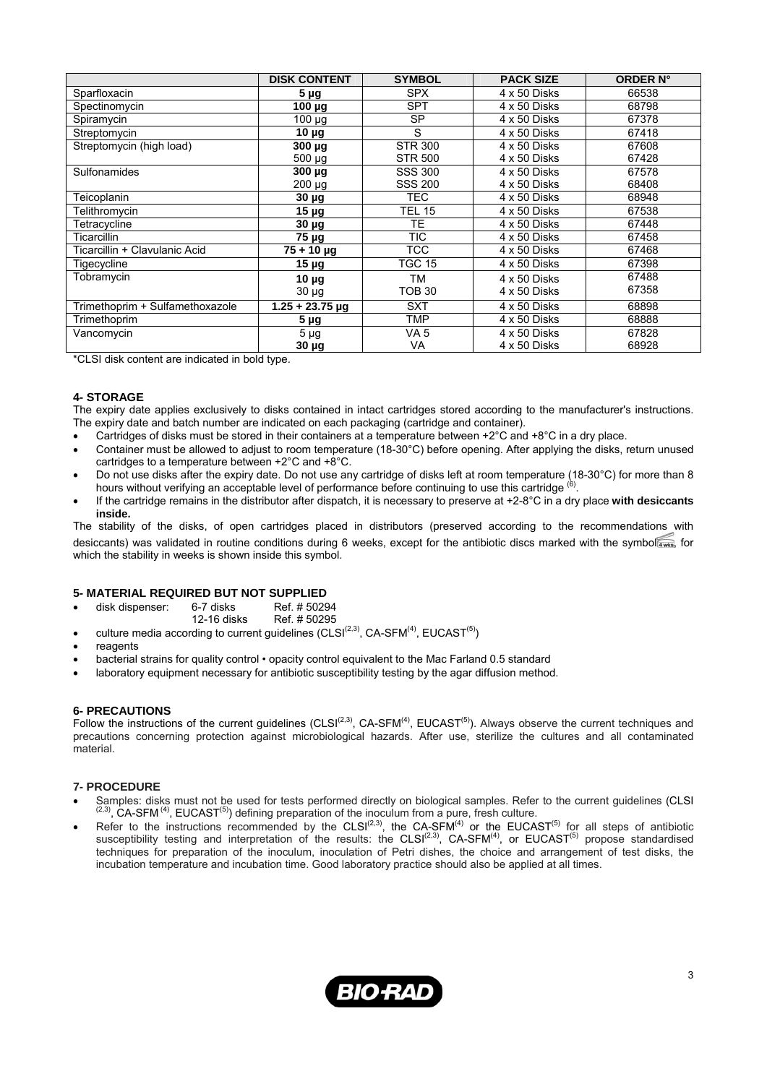|                                 | <b>DISK CONTENT</b> | <b>SYMBOL</b>  | <b>PACK SIZE</b> | <b>ORDER N°</b> |
|---------------------------------|---------------------|----------------|------------------|-----------------|
| Sparfloxacin                    | 5 <sub>µg</sub>     | <b>SPX</b>     | 4 x 50 Disks     | 66538           |
| Spectinomycin                   | 100 µg              | <b>SPT</b>     | 4 x 50 Disks     | 68798           |
| Spiramycin                      | $100 \mu g$         | SP.            | 4 x 50 Disks     | 67378           |
| Streptomycin                    | $10 \mu g$          | S              | 4 x 50 Disks     | 67418           |
| Streptomycin (high load)        | $300 \mu g$         | <b>STR 300</b> | 4 x 50 Disks     | 67608           |
|                                 | $500 \mu g$         | <b>STR 500</b> | 4 x 50 Disks     | 67428           |
| Sulfonamides                    | $300 \mu g$         | <b>SSS 300</b> | 4 x 50 Disks     | 67578           |
|                                 | 200 µg              | <b>SSS 200</b> | 4 x 50 Disks     | 68408           |
| Teicoplanin                     | $30 \mu g$          | <b>TEC</b>     | 4 x 50 Disks     | 68948           |
| Telithromycin                   | $15 \mu g$          | <b>TEL 15</b>  | 4 x 50 Disks     | 67538           |
| Tetracycline                    | 30 µg               | TE.            | 4 x 50 Disks     | 67448           |
| Ticarcillin                     | <b>75 μg</b>        | <b>TIC</b>     | 4 x 50 Disks     | 67458           |
| Ticarcillin + Clavulanic Acid   | $75 + 10 \mu$ g     | TCC            | 4 x 50 Disks     | 67468           |
| Tigecycline                     | $15 \mu g$          | TGC 15         | 4 x 50 Disks     | 67398           |
| Tobramycin                      | $10 \mu$ g          | <b>TM</b>      | 4 x 50 Disks     | 67488           |
|                                 | $30 \mu g$          | TOB 30         | 4 x 50 Disks     | 67358           |
| Trimethoprim + Sulfamethoxazole | $1.25 + 23.75$ µg   | <b>SXT</b>     | 4 x 50 Disks     | 68898           |
| Trimethoprim                    | $5 \mu g$           | TMP            | 4 x 50 Disks     | 68888           |
| Vancomycin                      | $5 \mu g$           | VA 5           | 4 x 50 Disks     | 67828           |
|                                 | $30 \mu g$          | VA             | 4 x 50 Disks     | 68928           |

\*CLSI disk content are indicated in bold type.

#### **4- STORAGE**

The expiry date applies exclusively to disks contained in intact cartridges stored according to the manufacturer's instructions. The expiry date and batch number are indicated on each packaging (cartridge and container).

- Cartridges of disks must be stored in their containers at a temperature between +2°C and +8°C in a dry place.
- Container must be allowed to adjust to room temperature (18-30°C) before opening. After applying the disks, return unused cartridges to a temperature between +2°C and +8°C.
- Do not use disks after the expiry date. Do not use any cartridge of disks left at room temperature (18-30°C) for more than 8 hours without verifying an acceptable level of performance before continuing to use this cartridge (6).
- If the cartridge remains in the distributor after dispatch, it is necessary to preserve at +2-8°C in a dry place **with desiccants inside.**

The stability of the disks, of open cartridges placed in distributors (preserved according to the recommendations with desiccants) was validated in routine conditions during 6 weeks, except for the antibiotic discs marked with the symbol , for which the stability in weeks is shown inside this symbol.

#### **5- MATERIAL REQUIRED BUT NOT SUPPLIED**

- disk dispenser: 6-7 disks Ref. # 50294
- 12-16 disks Ref. # 50295
- culture media according to current guidelines (CLSI $(2,3)$ , CA-SFM $^{(4)}$ , EUCAST $^{(5)}$ )
- reagents
- bacterial strains for quality control opacity control equivalent to the Mac Farland 0.5 standard
- laboratory equipment necessary for antibiotic susceptibility testing by the agar diffusion method.

#### **6- PRECAUTIONS**

Follow the instructions of the current guidelines (CLSI $(2,3)$ , CA-SFM $^{(4)}$ , EUCAST $^{(5)}$ ). Always observe the current techniques and precautions concerning protection against microbiological hazards. After use, sterilize the cultures and all contaminated material.

#### **7- PROCEDURE**

- Samples: disks must not be used for tests performed directly on biological samples. Refer to the current guidelines (CLSI  $(2.3)$ , CA-SFM  $^{(4)}$ , EUCAST $^{(5)}$ ) defining preparation of the inoculum from a pure, fresh cultu
- Refer to the instructions recommended by the CLSI<sup>(2,3)</sup>, the CA-SFM<sup>(4)</sup> or the EUCAST<sup>(5)</sup> for all steps of antibiotic susceptibility testing and interpretation of the results: the CLSI<sup>(2,3)</sup>, CA-SFM<sup>(4)</sup>, or EUCAST<sup>(5)</sup> propose standardised techniques for preparation of the inoculum, inoculation of Petri dishes, the choice and arrangement of test disks, the incubation temperature and incubation time. Good laboratory practice should also be applied at all times.

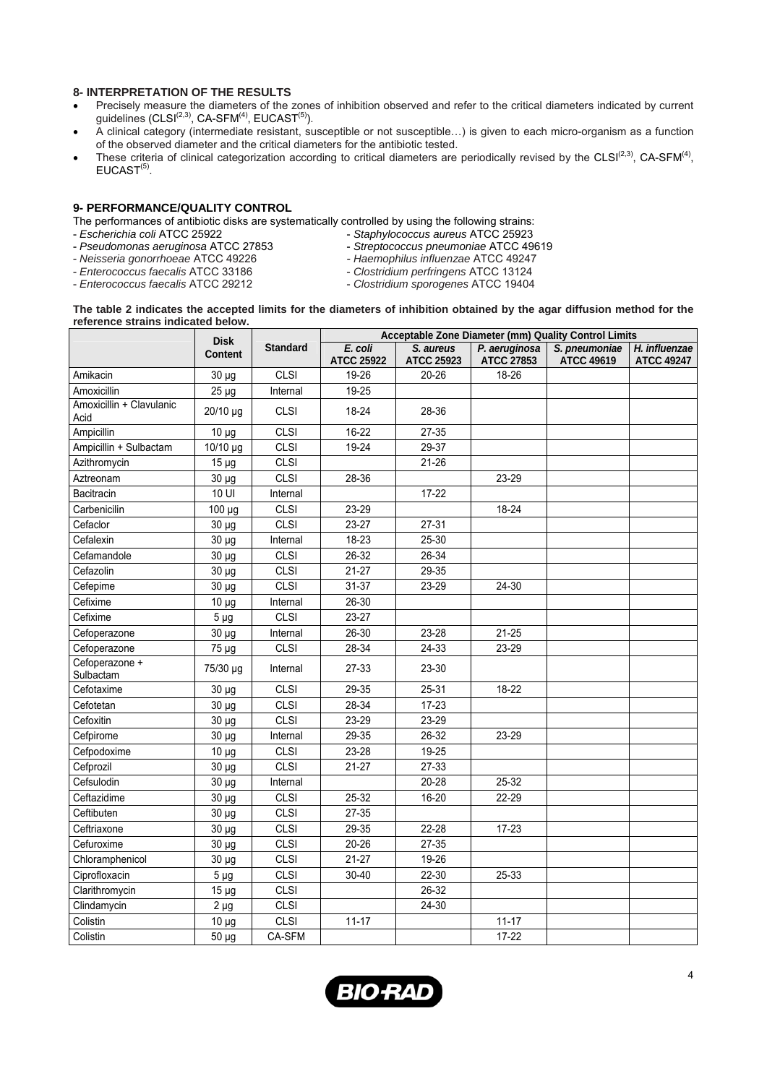# **8- INTERPRETATION OF THE RESULTS**

- Precisely measure the diameters of the zones of inhibition observed and refer to the critical diameters indicated by current guidelines (CLSI $^{(2,3)}$ , CA-SFM $^{(4)}$ , EUCAST $^{(5)}$ ).
- A clinical category (intermediate resistant, susceptible or not susceptible…) is given to each micro-organism as a function of the observed diameter and the critical diameters for the antibiotic tested.
- These criteria of clinical categorization according to critical diameters are periodically revised by the CLSI $(2,3)$ , CA-SFM $(4)$ ,  $EUCAST<sup>(5)</sup>$ .

### **9- PERFORMANCE/QUALITY CONTROL**

The performances of antibiotic disks are systematically controlled by using the following strains:<br>Escherichia coli ATCC 25922 - Staphylococcus aureus ATCC 25923

- 
- *Escherichia coli* ATCC 25922 *Staphylococcus aureus* ATCC 25923 - *Pseudomonas aeruginosa* ATCC 27853 - *Streptococcus pneumoniae* ATCC 49619
	-
	-
- *Neisseria gonorrhoeae* ATCC 49226 *Haemophilus influenzae* ATCC 49247
- 
- *Enterococcus faecalis* ATCC 33186 *Clostridium perfringens* ATCC 13124
	- *Enterococcus faecalis* ATCC 29212 *Clostridium sporogenes* ATCC 19404

#### **The table 2 indicates the accepted limits for the diameters of inhibition obtained by the agar diffusion method for the reference strains indicated below.**

|                                  | <b>Disk</b>    |                 | Acceptable Zone Diameter (mm) Quality Control Limits |                                |                                    |                                    |                                    |
|----------------------------------|----------------|-----------------|------------------------------------------------------|--------------------------------|------------------------------------|------------------------------------|------------------------------------|
|                                  | <b>Content</b> | <b>Standard</b> | E. coli<br><b>ATCC 25922</b>                         | S. aureus<br><b>ATCC 25923</b> | P. aeruginosa<br><b>ATCC 27853</b> | S. pneumoniae<br><b>ATCC 49619</b> | H. influenzae<br><b>ATCC 49247</b> |
| Amikacin                         | $30 \mu g$     | CLSI            | 19-26                                                | $20 - 26$                      | 18-26                              |                                    |                                    |
| Amoxicillin                      | $25 \mu g$     | Internal        | 19-25                                                |                                |                                    |                                    |                                    |
| Amoxicillin + Clavulanic<br>Acid | 20/10 µg       | <b>CLSI</b>     | 18-24                                                | 28-36                          |                                    |                                    |                                    |
| Ampicillin                       | $10 \mu g$     | CLSI            | 16-22                                                | 27-35                          |                                    |                                    |                                    |
| Ampicillin + Sulbactam           | 10/10 µg       | <b>CLSI</b>     | 19-24                                                | 29-37                          |                                    |                                    |                                    |
| Azithromycin                     | $15 \mu g$     | CLSI            |                                                      | $21 - 26$                      |                                    |                                    |                                    |
| Aztreonam                        | $30 \mu g$     | <b>CLSI</b>     | 28-36                                                |                                | 23-29                              |                                    |                                    |
| Bacitracin                       | 10 UI          | Internal        |                                                      | $17 - 22$                      |                                    |                                    |                                    |
| Carbenicilin                     | 100 µg         | <b>CLSI</b>     | 23-29                                                |                                | 18-24                              |                                    |                                    |
| Cefaclor                         | $30 \mu g$     | CLSI            | 23-27                                                | $27 - 31$                      |                                    |                                    |                                    |
| Cefalexin                        | $30 \mu g$     | Internal        | 18-23                                                | 25-30                          |                                    |                                    |                                    |
| Cefamandole                      | $30 \mu g$     | <b>CLSI</b>     | 26-32                                                | 26-34                          |                                    |                                    |                                    |
| Cefazolin                        | 30 µg          | <b>CLSI</b>     | $21 - 27$                                            | 29-35                          |                                    |                                    |                                    |
| Cefepime                         | 30 µg          | <b>CLSI</b>     | 31-37                                                | 23-29                          | 24-30                              |                                    |                                    |
| Cefixime                         | $10 \mu g$     | Internal        | 26-30                                                |                                |                                    |                                    |                                    |
| Cefixime                         | $5 \mu g$      | <b>CLSI</b>     | 23-27                                                |                                |                                    |                                    |                                    |
| Cefoperazone                     | 30 µg          | Internal        | 26-30                                                | 23-28                          | $21 - 25$                          |                                    |                                    |
| Cefoperazone                     | 75 µg          | CLSI            | 28-34                                                | 24-33                          | 23-29                              |                                    |                                    |
| Cefoperazone +<br>Sulbactam      | 75/30 µg       | Internal        | 27-33                                                | 23-30                          |                                    |                                    |                                    |
| Cefotaxime                       | $30 \mu g$     | CLSI            | 29-35                                                | 25-31                          | 18-22                              |                                    |                                    |
| Cefotetan                        | $30 \mu g$     | <b>CLSI</b>     | 28-34                                                | $17 - 23$                      |                                    |                                    |                                    |
| Cefoxitin                        | 30 µg          | CLSI            | 23-29                                                | 23-29                          |                                    |                                    |                                    |
| Cefpirome                        | 30 µg          | Internal        | 29-35                                                | 26-32                          | 23-29                              |                                    |                                    |
| Cefpodoxime                      | $10 \mu g$     | <b>CLSI</b>     | 23-28                                                | 19-25                          |                                    |                                    |                                    |
| Cefprozil                        | 30 µg          | <b>CLSI</b>     | $21 - 27$                                            | 27-33                          |                                    |                                    |                                    |
| Cefsulodin                       | 30 µg          | Internal        |                                                      | $20 - 28$                      | 25-32                              |                                    |                                    |
| Ceftazidime                      | $30 \mu g$     | <b>CLSI</b>     | 25-32                                                | 16-20                          | 22-29                              |                                    |                                    |
| Ceftibuten                       | 30 µg          | CLSI            | 27-35                                                |                                |                                    |                                    |                                    |
| Ceftriaxone                      | 30 µg          | <b>CLSI</b>     | 29-35                                                | 22-28                          | 17-23                              |                                    |                                    |
| Cefuroxime                       | 30 µg          | CLSI            | $20 - 26$                                            | 27-35                          |                                    |                                    |                                    |
| Chloramphenicol                  | $30 \mu g$     | <b>CLSI</b>     | $21 - 27$                                            | 19-26                          |                                    |                                    |                                    |
| Ciprofloxacin                    | $5 \mu g$      | <b>CLSI</b>     | 30-40                                                | 22-30                          | 25-33                              |                                    |                                    |
| Clarithromycin                   | $15 \mu g$     | CLSI            |                                                      | 26-32                          |                                    |                                    |                                    |
| Clindamycin                      | $2 \mu g$      | CLSI            |                                                      | 24-30                          |                                    |                                    |                                    |
| Colistin                         | $10 \mu g$     | <b>CLSI</b>     | $11 - 17$                                            |                                | $11 - 17$                          |                                    |                                    |
| Colistin                         | 50 µg          | CA-SFM          |                                                      |                                | $17 - 22$                          |                                    |                                    |

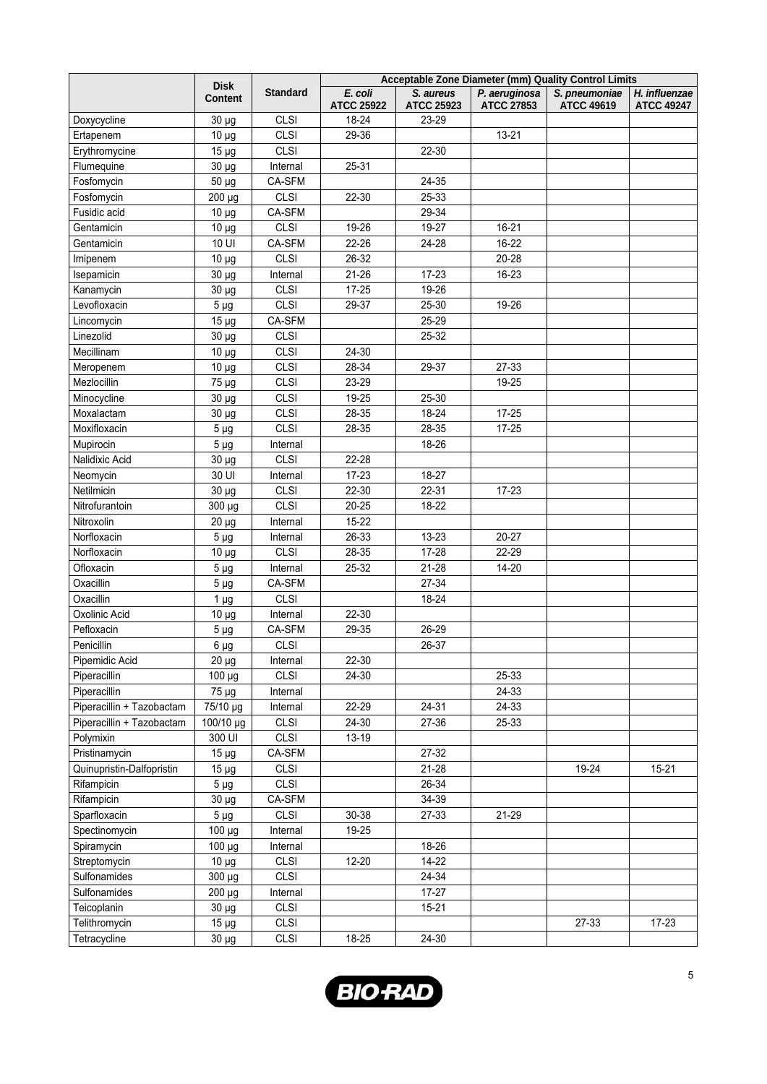|                           | <b>Disk</b>     |                 | Acceptable Zone Diameter (mm) Quality Control Limits |                                |                                    |                                    |                                    |  |
|---------------------------|-----------------|-----------------|------------------------------------------------------|--------------------------------|------------------------------------|------------------------------------|------------------------------------|--|
|                           | <b>Content</b>  | <b>Standard</b> | E. coli<br><b>ATCC 25922</b>                         | S. aureus<br><b>ATCC 25923</b> | P. aeruginosa<br><b>ATCC 27853</b> | S. pneumoniae<br><b>ATCC 49619</b> | H. influenzae<br><b>ATCC 49247</b> |  |
| Doxycycline               | $30 \mu g$      | <b>CLSI</b>     | 18-24                                                | 23-29                          |                                    |                                    |                                    |  |
| Ertapenem                 | $10 \mu g$      | <b>CLSI</b>     | 29-36                                                |                                | 13-21                              |                                    |                                    |  |
| Erythromycine             | $15 \mu g$      | <b>CLSI</b>     |                                                      | 22-30                          |                                    |                                    |                                    |  |
| Flumequine                | $30 \mu g$      | Internal        | 25-31                                                |                                |                                    |                                    |                                    |  |
| Fosfomycin                | $50 \mu g$      | CA-SFM          |                                                      | 24-35                          |                                    |                                    |                                    |  |
| Fosfomycin                | 200 µg          | <b>CLSI</b>     | 22-30                                                | 25-33                          |                                    |                                    |                                    |  |
| Fusidic acid              | $10 \mu g$      | CA-SFM          |                                                      | 29-34                          |                                    |                                    |                                    |  |
| Gentamicin                | $10 \mu g$      | <b>CLSI</b>     | 19-26                                                | 19-27                          | 16-21                              |                                    |                                    |  |
| Gentamicin                | 10 UI           | CA-SFM          | 22-26                                                | 24-28                          | 16-22                              |                                    |                                    |  |
| Imipenem                  | $10 \mu g$      | <b>CLSI</b>     | 26-32                                                |                                | 20-28                              |                                    |                                    |  |
| Isepamicin                | $30 \mu g$      | Internal        | 21-26                                                | 17-23                          | 16-23                              |                                    |                                    |  |
| Kanamycin                 | $30 \mu g$      | <b>CLSI</b>     | $17 - 25$                                            | 19-26                          |                                    |                                    |                                    |  |
| Levofloxacin              | 5 <sub>µg</sub> | <b>CLSI</b>     | 29-37                                                | 25-30                          | 19-26                              |                                    |                                    |  |
| Lincomycin                | $15 \mu g$      | CA-SFM          |                                                      | 25-29                          |                                    |                                    |                                    |  |
| Linezolid                 | 30 µg           | <b>CLSI</b>     |                                                      | 25-32                          |                                    |                                    |                                    |  |
| Mecillinam                | $10 \mu g$      | <b>CLSI</b>     | 24-30                                                |                                |                                    |                                    |                                    |  |
| Meropenem                 | $10 \mu g$      | <b>CLSI</b>     | 28-34                                                | 29-37                          | 27-33                              |                                    |                                    |  |
| Mezlocillin               | 75 µg           | <b>CLSI</b>     | 23-29                                                |                                | 19-25                              |                                    |                                    |  |
| Minocycline               | $30 \mu g$      | <b>CLSI</b>     | 19-25                                                | 25-30                          |                                    |                                    |                                    |  |
| Moxalactam                | $30 \mu g$      | <b>CLSI</b>     | 28-35                                                | 18-24                          | $17 - 25$                          |                                    |                                    |  |
| Moxifloxacin              | $5 \mu g$       | <b>CLSI</b>     | 28-35                                                | 28-35                          | $17 - 25$                          |                                    |                                    |  |
| Mupirocin                 | 5 <sub>µg</sub> | Internal        |                                                      | 18-26                          |                                    |                                    |                                    |  |
| Nalidixic Acid            | $30 \mu g$      | <b>CLSI</b>     | 22-28                                                |                                |                                    |                                    |                                    |  |
| Neomycin                  | 30 UI           | Internal        | 17-23                                                | 18-27                          |                                    |                                    |                                    |  |
| Netilmicin                | 30 µg           | <b>CLSI</b>     | 22-30                                                | 22-31                          | $17 - 23$                          |                                    |                                    |  |
| Nitrofurantoin            | 300 µg          | <b>CLSI</b>     | $20 - 25$                                            | 18-22                          |                                    |                                    |                                    |  |
| Nitroxolin                | $20 \mu g$      | Internal        | $15 - 22$                                            |                                |                                    |                                    |                                    |  |
| Norfloxacin               | $5 \mu g$       | Internal        | 26-33                                                | 13-23                          | $20 - 27$                          |                                    |                                    |  |
| Norfloxacin               | $10 \mu g$      | <b>CLSI</b>     | 28-35                                                | 17-28                          | 22-29                              |                                    |                                    |  |
| Ofloxacin                 | $5 \mu g$       | Internal        | 25-32                                                | $21 - 28$                      | 14-20                              |                                    |                                    |  |
| Oxacillin                 | $5 \mu g$       | CA-SFM          |                                                      | 27-34                          |                                    |                                    |                                    |  |
| Oxacillin                 | 1 <sub>µg</sub> | <b>CLSI</b>     |                                                      | 18-24                          |                                    |                                    |                                    |  |
| Oxolinic Acid             | $10 \mu g$      | Internal        | 22-30                                                |                                |                                    |                                    |                                    |  |
| Pefloxacin                | $5 \mu g$       | CA-SFM          | 29-35                                                | 26-29                          |                                    |                                    |                                    |  |
| Penicillin                | $6 \mu g$       | <b>CLSI</b>     |                                                      | 26-37                          |                                    |                                    |                                    |  |
| Pipemidic Acid            | $20 \mu g$      | Internal        | 22-30                                                |                                |                                    |                                    |                                    |  |
| Piperacillin              | 100 µg          | <b>CLSI</b>     | 24-30                                                |                                | 25-33                              |                                    |                                    |  |
| Piperacillin              | 75 µg           | Internal        |                                                      |                                | 24-33                              |                                    |                                    |  |
| Piperacillin + Tazobactam | 75/10 µg        | Internal        | 22-29                                                | $24 - 31$                      | 24-33                              |                                    |                                    |  |
| Piperacillin + Tazobactam | 100/10 µg       | <b>CLSI</b>     | 24-30                                                | 27-36                          | 25-33                              |                                    |                                    |  |
| Polymixin                 | 300 UI          | <b>CLSI</b>     | 13-19                                                |                                |                                    |                                    |                                    |  |
| Pristinamycin             | $15 \mu g$      | CA-SFM          |                                                      | 27-32                          |                                    |                                    |                                    |  |
| Quinupristin-Dalfopristin | $15 \mu g$      | <b>CLSI</b>     |                                                      | 21-28                          |                                    | 19-24                              | 15-21                              |  |
| Rifampicin                | $5 \mu g$       | <b>CLSI</b>     |                                                      | 26-34                          |                                    |                                    |                                    |  |
| Rifampicin                | $30 \mu g$      | CA-SFM          |                                                      | 34-39                          |                                    |                                    |                                    |  |
| Sparfloxacin              | $5 \mu g$       | <b>CLSI</b>     | 30-38                                                | 27-33                          | 21-29                              |                                    |                                    |  |
| Spectinomycin             | $100 \mu g$     | Internal        | 19-25                                                |                                |                                    |                                    |                                    |  |
| Spiramycin                | 100 µg          | Internal        |                                                      | 18-26                          |                                    |                                    |                                    |  |
| Streptomycin              | $10 \mu g$      | <b>CLSI</b>     | $12 - 20$                                            | 14-22                          |                                    |                                    |                                    |  |
| Sulfonamides              | 300 µg          | <b>CLSI</b>     |                                                      | 24-34                          |                                    |                                    |                                    |  |
| Sulfonamides              | 200 µg          | Internal        |                                                      | $17 - 27$                      |                                    |                                    |                                    |  |
| Teicoplanin               | $30 \mu g$      | <b>CLSI</b>     |                                                      | $15 - 21$                      |                                    |                                    |                                    |  |
| Telithromycin             | $15 \mu g$      | <b>CLSI</b>     |                                                      |                                |                                    | 27-33                              | $17 - 23$                          |  |
| Tetracycline              | $30 \mu g$      | <b>CLSI</b>     | 18-25                                                | $24 - 30$                      |                                    |                                    |                                    |  |

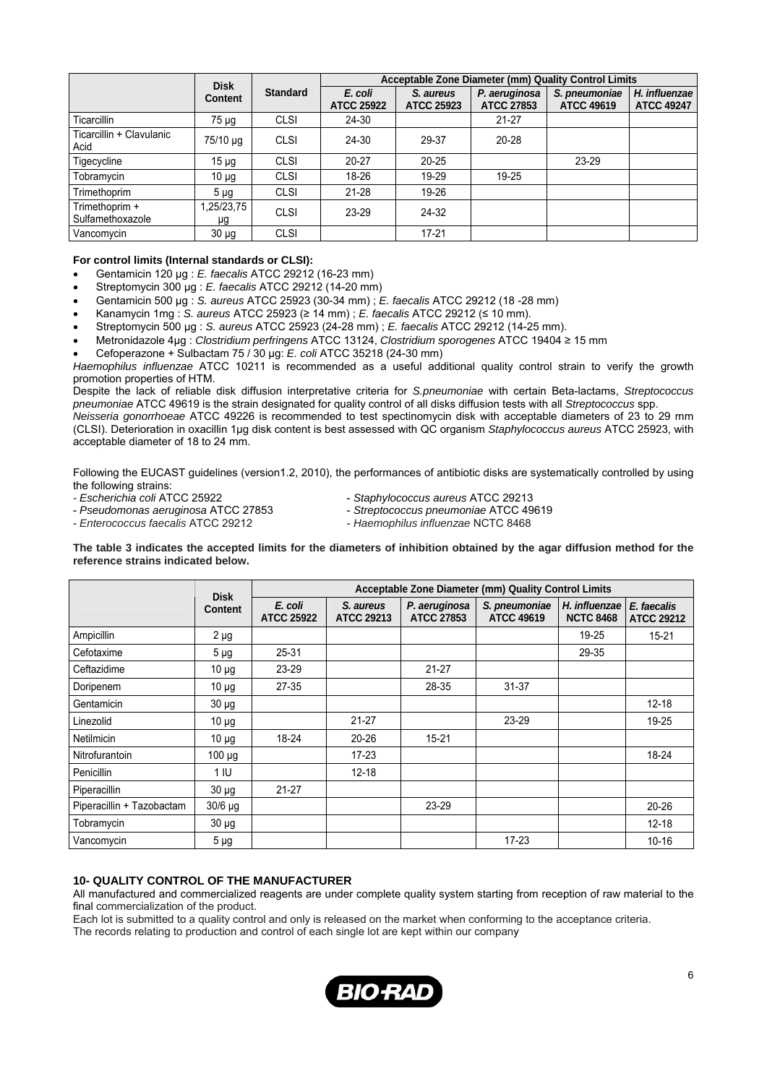|                                    | <b>Disk</b>      |                 |                              | Acceptable Zone Diameter (mm) Quality Control Limits |                                    |                                    |                                    |  |
|------------------------------------|------------------|-----------------|------------------------------|------------------------------------------------------|------------------------------------|------------------------------------|------------------------------------|--|
|                                    | Content          | <b>Standard</b> | E. coli<br><b>ATCC 25922</b> | S. aureus<br><b>ATCC 25923</b>                       | P. aeruginosa<br><b>ATCC 27853</b> | S. pneumoniae<br><b>ATCC 49619</b> | H. influenzae<br><b>ATCC 49247</b> |  |
| Ticarcillin                        | 75 µg            | <b>CLSI</b>     | 24-30                        |                                                      | $21 - 27$                          |                                    |                                    |  |
| Ticarcillin + Clavulanic<br>Acid   | 75/10 µg         | <b>CLSI</b>     | 24-30                        | 29-37                                                | 20-28                              |                                    |                                    |  |
| Tigecycline                        | $15 \mu g$       | <b>CLSI</b>     | $20 - 27$                    | $20 - 25$                                            |                                    | 23-29                              |                                    |  |
| Tobramycin                         | 10 <sub>µq</sub> | <b>CLSI</b>     | 18-26                        | 19-29                                                | 19-25                              |                                    |                                    |  |
| Trimethoprim                       | $5 \mu$ g        | <b>CLSI</b>     | $21 - 28$                    | 19-26                                                |                                    |                                    |                                    |  |
| Trimethoprim +<br>Sulfamethoxazole | 1,25/23,75<br>μg | <b>CLSI</b>     | 23-29                        | 24-32                                                |                                    |                                    |                                    |  |
| Vancomycin                         | $30 \mu g$       | <b>CLSI</b>     |                              | $17 - 21$                                            |                                    |                                    |                                    |  |

## **For control limits (Internal standards or CLSI):**

- Gentamicin 120 µg : *E. faecalis* ATCC 29212 (16-23 mm)
- Streptomycin 300 µg : *E. faecalis* ATCC 29212 (14-20 mm)
- Gentamicin 500 µg : *S. aureus* ATCC 25923 (30-34 mm) ; *E. faecalis* ATCC 29212 (18 -28 mm)
- Kanamycin 1mg : *S. aureus* ATCC 25923 (≥ 14 mm) ; *E. faecalis* ATCC 29212 (≤ 10 mm).
- Streptomycin 500 µg : *S. aureus* ATCC 25923 (24-28 mm) ; *E. faecalis* ATCC 29212 (14-25 mm).
- Metronidazole 4µg : *Clostridium perfringens* ATCC 13124, *Clostridium sporogenes* ATCC 19404 ≥ 15 mm
- Cefoperazone + Sulbactam 75 / 30 µg: *E. coli* ATCC 35218 (24-30 mm)

*Haemophilus influenzae* ATCC 10211 is recommended as a useful additional quality control strain to verify the growth promotion properties of HTM.

Despite the lack of reliable disk diffusion interpretative criteria for *S.pneumoniae* with certain Beta-lactams, *Streptococcus pneumoniae* ATCC 49619 is the strain designated for quality control of all disks diffusion tests with all *Streptococcus* spp.

*Neisseria gonorrhoeae* ATCC 49226 is recommended to test spectinomycin disk with acceptable diameters of 23 to 29 mm (CLSI). Deterioration in oxacillin 1µg disk content is best assessed with QC organism *Staphylococcus aureus* ATCC 25923, with acceptable diameter of 18 to 24 mm.

Following the EUCAST guidelines (version1.2, 2010), the performances of antibiotic disks are systematically controlled by using the following strains:<br>- Escherichia coli ATCC 25922

- 
- *Escherichia coli* ATCC 25922 *Staphylococcus aureus* ATCC 29213
- *Enterococcus faecalis* ATCC 29212 *Haemophilus influenzae* NCTC 8468
- 
- *Pseudomonas aeruginosa* ATCC 27853 *Streptococcus pneumoniae* ATCC 49619
	-

**The table 3 indicates the accepted limits for the diameters of inhibition obtained by the agar diffusion method for the reference strains indicated below.** 

|                           | <b>Disk</b>    | Acceptable Zone Diameter (mm) Quality Control Limits |                                |                                    |                                    |                                   |                                  |
|---------------------------|----------------|------------------------------------------------------|--------------------------------|------------------------------------|------------------------------------|-----------------------------------|----------------------------------|
|                           | <b>Content</b> | E. coli<br><b>ATCC 25922</b>                         | S. aureus<br><b>ATCC 29213</b> | P. aeruginosa<br><b>ATCC 27853</b> | S. pneumoniae<br><b>ATCC 49619</b> | H. influenzae<br><b>NCTC 8468</b> | E. faecalis<br><b>ATCC 29212</b> |
| Ampicillin                | $2 \mu g$      |                                                      |                                |                                    |                                    | 19-25                             | 15-21                            |
| Cefotaxime                | $5 \mu g$      | 25-31                                                |                                |                                    |                                    | 29-35                             |                                  |
| Ceftazidime               | $10 \mu g$     | 23-29                                                |                                | $21 - 27$                          |                                    |                                   |                                  |
| Doripenem                 | $10 \mu g$     | $27 - 35$                                            |                                | 28-35                              | $31 - 37$                          |                                   |                                  |
| Gentamicin                | $30 \mu g$     |                                                      |                                |                                    |                                    |                                   | $12 - 18$                        |
| Linezolid                 | $10 \mu g$     |                                                      | $21 - 27$                      |                                    | 23-29                              |                                   | 19-25                            |
| <b>Netilmicin</b>         | $10 \mu g$     | $18 - 24$                                            | $20 - 26$                      | $15 - 21$                          |                                    |                                   |                                  |
| Nitrofurantoin            | $100 \mu g$    |                                                      | $17 - 23$                      |                                    |                                    |                                   | 18-24                            |
| Penicillin                | 1 IU           |                                                      | $12 - 18$                      |                                    |                                    |                                   |                                  |
| Piperacillin              | $30 \mu g$     | $21 - 27$                                            |                                |                                    |                                    |                                   |                                  |
| Piperacillin + Tazobactam | $30/6$ µg      |                                                      |                                | 23-29                              |                                    |                                   | $20 - 26$                        |
| Tobramycin                | $30 \mu g$     |                                                      |                                |                                    |                                    |                                   | $12 - 18$                        |
| Vancomycin                | $5 \mu g$      |                                                      |                                |                                    | $17 - 23$                          |                                   | $10 - 16$                        |

#### **10- QUALITY CONTROL OF THE MANUFACTURER**

All manufactured and commercialized reagents are under complete quality system starting from reception of raw material to the final commercialization of the product.

Each lot is submitted to a quality control and only is released on the market when conforming to the acceptance criteria.

The records relating to production and control of each single lot are kept within our company